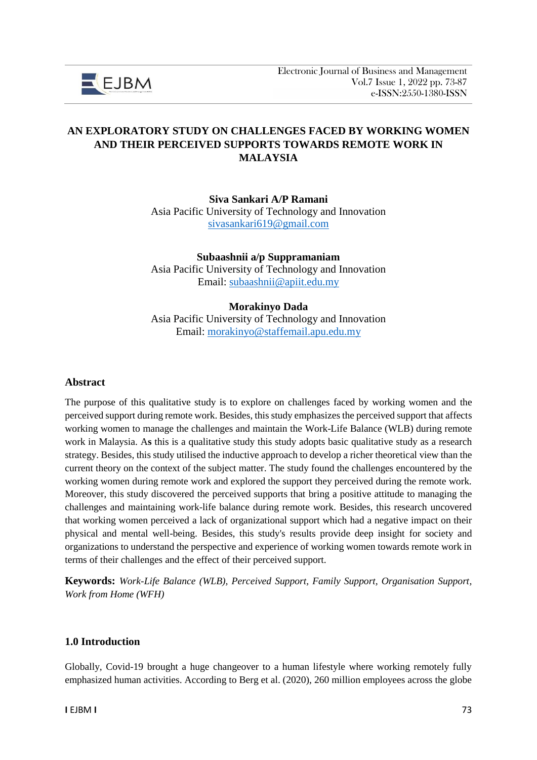

# **AN EXPLORATORY STUDY ON CHALLENGES FACED BY WORKING WOMEN AND THEIR PERCEIVED SUPPORTS TOWARDS REMOTE WORK IN MALAYSIA**

**Siva Sankari A/P Ramani** Asia Pacific University of Technology and Innovation [sivasankari619@gmail.com](mailto:sivasankari619@gmail.com)

**Subaashnii a/p Suppramaniam** Asia Pacific University of Technology and Innovation Email: subaashnii@apiit.edu.my

**Morakinyo Dada** Asia Pacific University of Technology and Innovation Email: [morakinyo@staffemail.apu.edu.my](mailto:morakinyo@staffemail.apu.edu.my)

#### **Abstract**

The purpose of this qualitative study is to explore on challenges faced by working women and the perceived support during remote work. Besides, this study emphasizes the perceived support that affects working women to manage the challenges and maintain the Work-Life Balance (WLB) during remote work in Malaysia. A**s** this is a qualitative study this study adopts basic qualitative study as a research strategy. Besides, this study utilised the inductive approach to develop a richer theoretical view than the current theory on the context of the subject matter. The study found the challenges encountered by the working women during remote work and explored the support they perceived during the remote work. Moreover, this study discovered the perceived supports that bring a positive attitude to managing the challenges and maintaining work-life balance during remote work. Besides, this research uncovered that working women perceived a lack of organizational support which had a negative impact on their physical and mental well-being. Besides, this study's results provide deep insight for society and organizations to understand the perspective and experience of working women towards remote work in terms of their challenges and the effect of their perceived support.

**Keywords:** *Work-Life Balance (WLB), Perceived Support, Family Support, Organisation Support, Work from Home (WFH)*

#### **1.0 Introduction**

Globally, Covid-19 brought a huge changeover to a human lifestyle where working remotely fully emphasized human activities. According to Berg et al. (2020), 260 million employees across the globe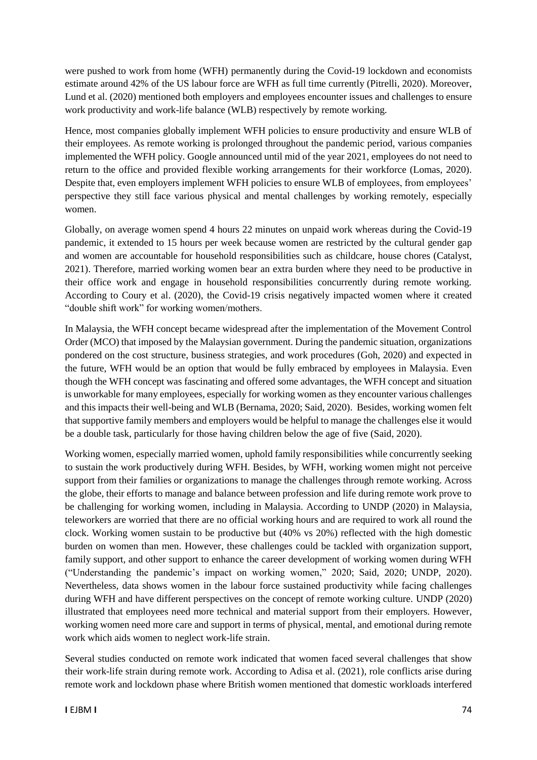were pushed to work from home (WFH) permanently during the Covid-19 lockdown and economists estimate around 42% of the US labour force are WFH as full time currently (Pitrelli, 2020). Moreover, Lund et al. (2020) mentioned both employers and employees encounter issues and challenges to ensure work productivity and work-life balance (WLB) respectively by remote working.

Hence, most companies globally implement WFH policies to ensure productivity and ensure WLB of their employees. As remote working is prolonged throughout the pandemic period, various companies implemented the WFH policy. Google announced until mid of the year 2021, employees do not need to return to the office and provided flexible working arrangements for their workforce (Lomas, 2020). Despite that, even employers implement WFH policies to ensure WLB of employees, from employees' perspective they still face various physical and mental challenges by working remotely, especially women.

Globally, on average women spend 4 hours 22 minutes on unpaid work whereas during the Covid-19 pandemic, it extended to 15 hours per week because women are restricted by the cultural gender gap and women are accountable for household responsibilities such as childcare, house chores (Catalyst, 2021). Therefore, married working women bear an extra burden where they need to be productive in their office work and engage in household responsibilities concurrently during remote working. According to Coury et al. (2020), the Covid-19 crisis negatively impacted women where it created "double shift work" for working women/mothers.

In Malaysia, the WFH concept became widespread after the implementation of the Movement Control Order (MCO) that imposed by the Malaysian government. During the pandemic situation, organizations pondered on the cost structure, business strategies, and work procedures (Goh, 2020) and expected in the future, WFH would be an option that would be fully embraced by employees in Malaysia. Even though the WFH concept was fascinating and offered some advantages, the WFH concept and situation is unworkable for many employees, especially for working women as they encounter various challenges and this impacts their well-being and WLB (Bernama, 2020; Said, 2020). Besides, working women felt that supportive family members and employers would be helpful to manage the challenges else it would be a double task, particularly for those having children below the age of five (Said, 2020).

Working women, especially married women, uphold family responsibilities while concurrently seeking to sustain the work productively during WFH. Besides, by WFH, working women might not perceive support from their families or organizations to manage the challenges through remote working. Across the globe, their efforts to manage and balance between profession and life during remote work prove to be challenging for working women, including in Malaysia. According to UNDP (2020) in Malaysia, teleworkers are worried that there are no official working hours and are required to work all round the clock. Working women sustain to be productive but (40% vs 20%) reflected with the high domestic burden on women than men. However, these challenges could be tackled with organization support, family support, and other support to enhance the career development of working women during WFH ("Understanding the pandemic's impact on working women," 2020; Said, 2020; UNDP, 2020). Nevertheless, data shows women in the labour force sustained productivity while facing challenges during WFH and have different perspectives on the concept of remote working culture. UNDP (2020) illustrated that employees need more technical and material support from their employers. However, working women need more care and support in terms of physical, mental, and emotional during remote work which aids women to neglect work-life strain.

Several studies conducted on remote work indicated that women faced several challenges that show their work-life strain during remote work. According to Adisa et al. (2021), role conflicts arise during remote work and lockdown phase where British women mentioned that domestic workloads interfered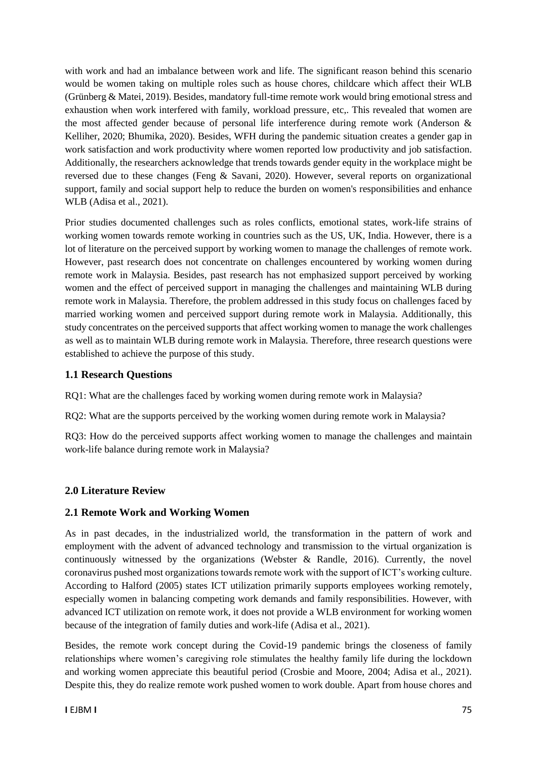with work and had an imbalance between work and life. The significant reason behind this scenario would be women taking on multiple roles such as house chores, childcare which affect their WLB (Grünberg & Matei, 2019). Besides, mandatory full-time remote work would bring emotional stress and exhaustion when work interfered with family, workload pressure, etc,. This revealed that women are the most affected gender because of personal life interference during remote work (Anderson & Kelliher, 2020; Bhumika, 2020). Besides, WFH during the pandemic situation creates a gender gap in work satisfaction and work productivity where women reported low productivity and job satisfaction. Additionally, the researchers acknowledge that trends towards gender equity in the workplace might be reversed due to these changes (Feng & Savani, 2020). However, several reports on organizational support, family and social support help to reduce the burden on women's responsibilities and enhance WLB (Adisa et al., 2021).

Prior studies documented challenges such as roles conflicts, emotional states, work-life strains of working women towards remote working in countries such as the US, UK, India. However, there is a lot of literature on the perceived support by working women to manage the challenges of remote work. However, past research does not concentrate on challenges encountered by working women during remote work in Malaysia. Besides, past research has not emphasized support perceived by working women and the effect of perceived support in managing the challenges and maintaining WLB during remote work in Malaysia. Therefore, the problem addressed in this study focus on challenges faced by married working women and perceived support during remote work in Malaysia. Additionally, this study concentrates on the perceived supports that affect working women to manage the work challenges as well as to maintain WLB during remote work in Malaysia. Therefore, three research questions were established to achieve the purpose of this study.

### **1.1 Research Questions**

RQ1: What are the challenges faced by working women during remote work in Malaysia?

RQ2: What are the supports perceived by the working women during remote work in Malaysia?

RQ3: How do the perceived supports affect working women to manage the challenges and maintain work-life balance during remote work in Malaysia?

# **2.0 Literature Review**

### **2.1 Remote Work and Working Women**

As in past decades, in the industrialized world, the transformation in the pattern of work and employment with the advent of advanced technology and transmission to the virtual organization is continuously witnessed by the organizations (Webster  $\&$  Randle, 2016). Currently, the novel coronavirus pushed most organizationstowards remote work with the support of ICT's working culture. According to Halford (2005) states ICT utilization primarily supports employees working remotely, especially women in balancing competing work demands and family responsibilities. However, with advanced ICT utilization on remote work, it does not provide a WLB environment for working women because of the integration of family duties and work-life (Adisa et al., 2021).

Besides, the remote work concept during the Covid-19 pandemic brings the closeness of family relationships where women's caregiving role stimulates the healthy family life during the lockdown and working women appreciate this beautiful period (Crosbie and Moore, 2004; Adisa et al., 2021). Despite this, they do realize remote work pushed women to work double. Apart from house chores and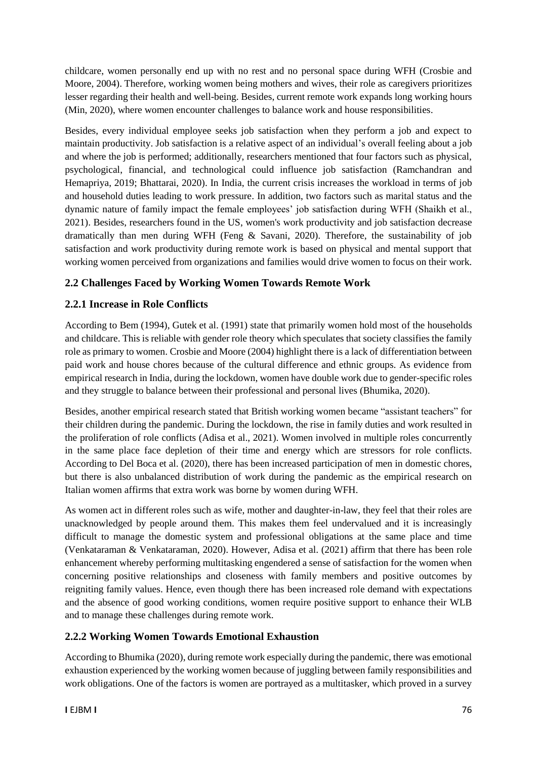childcare, women personally end up with no rest and no personal space during WFH (Crosbie and Moore, 2004). Therefore, working women being mothers and wives, their role as caregivers prioritizes lesser regarding their health and well-being. Besides, current remote work expands long working hours (Min, 2020), where women encounter challenges to balance work and house responsibilities.

Besides, every individual employee seeks job satisfaction when they perform a job and expect to maintain productivity. Job satisfaction is a relative aspect of an individual's overall feeling about a job and where the job is performed; additionally, researchers mentioned that four factors such as physical, psychological, financial, and technological could influence job satisfaction (Ramchandran and Hemapriya, 2019; Bhattarai, 2020). In India, the current crisis increases the workload in terms of job and household duties leading to work pressure. In addition, two factors such as marital status and the dynamic nature of family impact the female employees' job satisfaction during WFH (Shaikh et al., 2021). Besides, researchers found in the US, women's work productivity and job satisfaction decrease dramatically than men during WFH (Feng & Savani, 2020). Therefore, the sustainability of job satisfaction and work productivity during remote work is based on physical and mental support that working women perceived from organizations and families would drive women to focus on their work.

# **2.2 Challenges Faced by Working Women Towards Remote Work**

# **2.2.1 Increase in Role Conflicts**

According to Bem (1994), Gutek et al. (1991) state that primarily women hold most of the households and childcare. This is reliable with gender role theory which speculates that society classifies the family role as primary to women. Crosbie and Moore (2004) highlight there is a lack of differentiation between paid work and house chores because of the cultural difference and ethnic groups. As evidence from empirical research in India, during the lockdown, women have double work due to gender-specific roles and they struggle to balance between their professional and personal lives (Bhumika, 2020).

Besides, another empirical research stated that British working women became "assistant teachers" for their children during the pandemic. During the lockdown, the rise in family duties and work resulted in the proliferation of role conflicts (Adisa et al., 2021). Women involved in multiple roles concurrently in the same place face depletion of their time and energy which are stressors for role conflicts. According to Del Boca et al. (2020), there has been increased participation of men in domestic chores, but there is also unbalanced distribution of work during the pandemic as the empirical research on Italian women affirms that extra work was borne by women during WFH.

As women act in different roles such as wife, mother and daughter-in-law, they feel that their roles are unacknowledged by people around them. This makes them feel undervalued and it is increasingly difficult to manage the domestic system and professional obligations at the same place and time (Venkataraman & Venkataraman, 2020). However, Adisa et al. (2021) affirm that there has been role enhancement whereby performing multitasking engendered a sense of satisfaction for the women when concerning positive relationships and closeness with family members and positive outcomes by reigniting family values. Hence, even though there has been increased role demand with expectations and the absence of good working conditions, women require positive support to enhance their WLB and to manage these challenges during remote work.

# **2.2.2 Working Women Towards Emotional Exhaustion**

According to Bhumika (2020), during remote work especially during the pandemic, there was emotional exhaustion experienced by the working women because of juggling between family responsibilities and work obligations. One of the factors is women are portrayed as a multitasker, which proved in a survey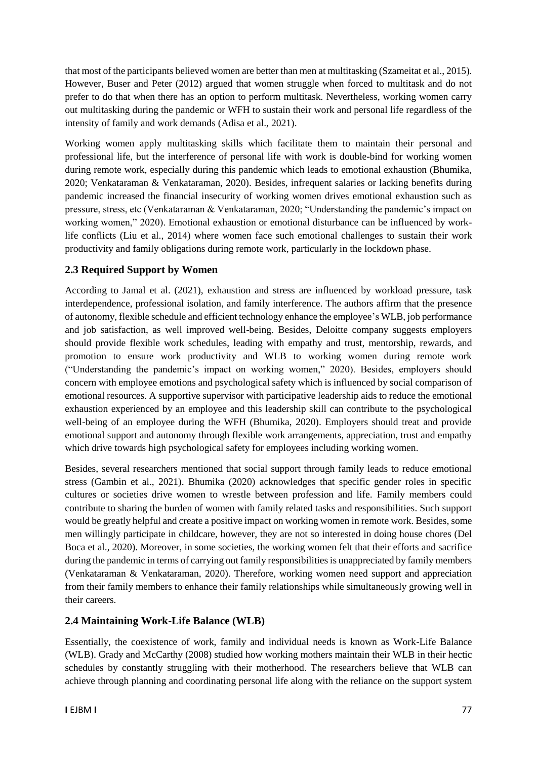that most of the participants believed women are better than men at multitasking (Szameitat et al., 2015). However, Buser and Peter (2012) argued that women struggle when forced to multitask and do not prefer to do that when there has an option to perform multitask. Nevertheless, working women carry out multitasking during the pandemic or WFH to sustain their work and personal life regardless of the intensity of family and work demands (Adisa et al., 2021).

Working women apply multitasking skills which facilitate them to maintain their personal and professional life, but the interference of personal life with work is double-bind for working women during remote work, especially during this pandemic which leads to emotional exhaustion (Bhumika, 2020; Venkataraman & Venkataraman, 2020). Besides, infrequent salaries or lacking benefits during pandemic increased the financial insecurity of working women drives emotional exhaustion such as pressure, stress, etc (Venkataraman & Venkataraman, 2020; "Understanding the pandemic's impact on working women," 2020). Emotional exhaustion or emotional disturbance can be influenced by worklife conflicts (Liu et al., 2014) where women face such emotional challenges to sustain their work productivity and family obligations during remote work, particularly in the lockdown phase.

# **2.3 Required Support by Women**

According to Jamal et al. (2021), exhaustion and stress are influenced by workload pressure, task interdependence, professional isolation, and family interference. The authors affirm that the presence of autonomy, flexible schedule and efficient technology enhance the employee's WLB, job performance and job satisfaction, as well improved well-being. Besides, Deloitte company suggests employers should provide flexible work schedules, leading with empathy and trust, mentorship, rewards, and promotion to ensure work productivity and WLB to working women during remote work ("Understanding the pandemic's impact on working women," 2020). Besides, employers should concern with employee emotions and psychological safety which is influenced by social comparison of emotional resources. A supportive supervisor with participative leadership aids to reduce the emotional exhaustion experienced by an employee and this leadership skill can contribute to the psychological well-being of an employee during the WFH (Bhumika, 2020). Employers should treat and provide emotional support and autonomy through flexible work arrangements, appreciation, trust and empathy which drive towards high psychological safety for employees including working women.

Besides, several researchers mentioned that social support through family leads to reduce emotional stress (Gambin et al., 2021). Bhumika (2020) acknowledges that specific gender roles in specific cultures or societies drive women to wrestle between profession and life. Family members could contribute to sharing the burden of women with family related tasks and responsibilities. Such support would be greatly helpful and create a positive impact on working women in remote work. Besides, some men willingly participate in childcare, however, they are not so interested in doing house chores (Del Boca et al., 2020). Moreover, in some societies, the working women felt that their efforts and sacrifice during the pandemic in terms of carrying out family responsibilities is unappreciated by family members (Venkataraman & Venkataraman, 2020). Therefore, working women need support and appreciation from their family members to enhance their family relationships while simultaneously growing well in their careers.

# **2.4 Maintaining Work-Life Balance (WLB)**

Essentially, the coexistence of work, family and individual needs is known as Work-Life Balance (WLB). Grady and McCarthy (2008) studied how working mothers maintain their WLB in their hectic schedules by constantly struggling with their motherhood. The researchers believe that WLB can achieve through planning and coordinating personal life along with the reliance on the support system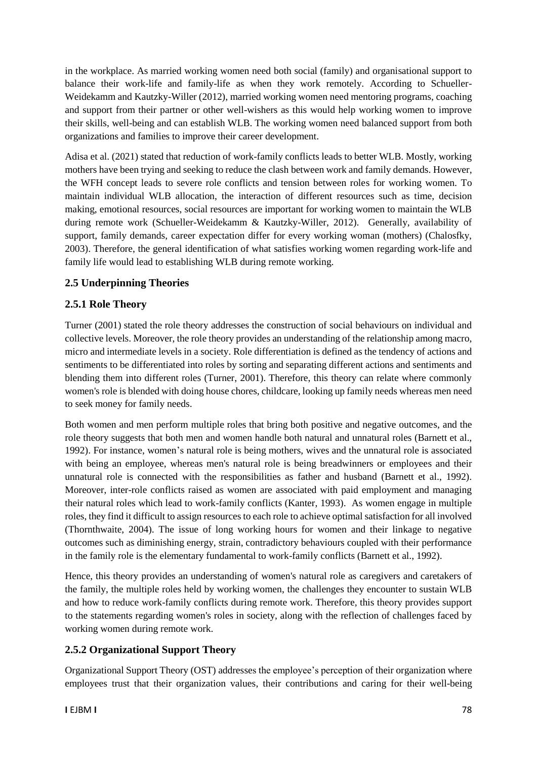in the workplace. As married working women need both social (family) and organisational support to balance their work-life and family-life as when they work remotely. According to Schueller-Weidekamm and Kautzky-Willer (2012), married working women need mentoring programs, coaching and support from their partner or other well-wishers as this would help working women to improve their skills, well-being and can establish WLB. The working women need balanced support from both organizations and families to improve their career development.

Adisa et al. (2021) stated that reduction of work-family conflicts leads to better WLB. Mostly, working mothers have been trying and seeking to reduce the clash between work and family demands. However, the WFH concept leads to severe role conflicts and tension between roles for working women. To maintain individual WLB allocation, the interaction of different resources such as time, decision making, emotional resources, social resources are important for working women to maintain the WLB during remote work (Schueller-Weidekamm & Kautzky-Willer, 2012). Generally, availability of support, family demands, career expectation differ for every working woman (mothers) (Chalosfky, 2003). Therefore, the general identification of what satisfies working women regarding work-life and family life would lead to establishing WLB during remote working.

# **2.5 Underpinning Theories**

### **2.5.1 Role Theory**

Turner (2001) stated the role theory addresses the construction of social behaviours on individual and collective levels. Moreover, the role theory provides an understanding of the relationship among macro, micro and intermediate levels in a society. Role differentiation is defined as the tendency of actions and sentiments to be differentiated into roles by sorting and separating different actions and sentiments and blending them into different roles (Turner, 2001). Therefore, this theory can relate where commonly women's role is blended with doing house chores, childcare, looking up family needs whereas men need to seek money for family needs.

Both women and men perform multiple roles that bring both positive and negative outcomes, and the role theory suggests that both men and women handle both natural and unnatural roles (Barnett et al., 1992). For instance, women's natural role is being mothers, wives and the unnatural role is associated with being an employee, whereas men's natural role is being breadwinners or employees and their unnatural role is connected with the responsibilities as father and husband (Barnett et al., 1992). Moreover, inter-role conflicts raised as women are associated with paid employment and managing their natural roles which lead to work-family conflicts (Kanter, 1993). As women engage in multiple roles, they find it difficult to assign resources to each role to achieve optimal satisfaction for all involved (Thornthwaite, 2004). The issue of long working hours for women and their linkage to negative outcomes such as diminishing energy, strain, contradictory behaviours coupled with their performance in the family role is the elementary fundamental to work-family conflicts (Barnett et al., 1992).

Hence, this theory provides an understanding of women's natural role as caregivers and caretakers of the family, the multiple roles held by working women, the challenges they encounter to sustain WLB and how to reduce work-family conflicts during remote work. Therefore, this theory provides support to the statements regarding women's roles in society, along with the reflection of challenges faced by working women during remote work.

### **2.5.2 Organizational Support Theory**

Organizational Support Theory (OST) addresses the employee's perception of their organization where employees trust that their organization values, their contributions and caring for their well-being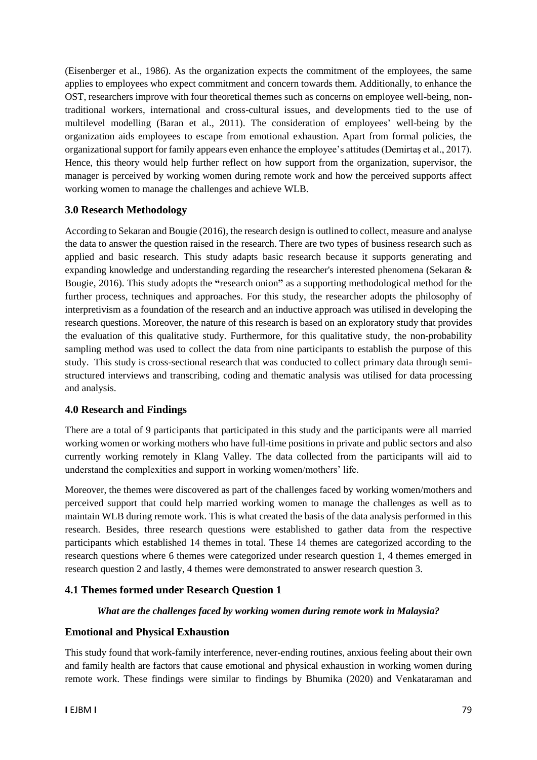(Eisenberger et al., 1986). As the organization expects the commitment of the employees, the same applies to employees who expect commitment and concern towards them. Additionally, to enhance the OST, researchers improve with four theoretical themes such as concerns on employee well-being, nontraditional workers, international and cross-cultural issues, and developments tied to the use of multilevel modelling (Baran et al., 2011). The consideration of employees' well-being by the organization aids employees to escape from emotional exhaustion. Apart from formal policies, the organizational support for family appears even enhance the employee's attitudes (Demirtaş et al., 2017). Hence, this theory would help further reflect on how support from the organization, supervisor, the manager is perceived by working women during remote work and how the perceived supports affect working women to manage the challenges and achieve WLB.

### **3.0 Research Methodology**

According to Sekaran and Bougie (2016), the research design is outlined to collect, measure and analyse the data to answer the question raised in the research. There are two types of business research such as applied and basic research. This study adapts basic research because it supports generating and expanding knowledge and understanding regarding the researcher's interested phenomena (Sekaran & Bougie, 2016). This study adopts the **"**research onion**"** as a supporting methodological method for the further process, techniques and approaches. For this study, the researcher adopts the philosophy of interpretivism as a foundation of the research and an inductive approach was utilised in developing the research questions. Moreover, the nature of this research is based on an exploratory study that provides the evaluation of this qualitative study. Furthermore, for this qualitative study, the non-probability sampling method was used to collect the data from nine participants to establish the purpose of this study. This study is cross-sectional research that was conducted to collect primary data through semistructured interviews and transcribing, coding and thematic analysis was utilised for data processing and analysis.

### **4.0 Research and Findings**

There are a total of 9 participants that participated in this study and the participants were all married working women or working mothers who have full-time positions in private and public sectors and also currently working remotely in Klang Valley. The data collected from the participants will aid to understand the complexities and support in working women/mothers' life.

Moreover, the themes were discovered as part of the challenges faced by working women/mothers and perceived support that could help married working women to manage the challenges as well as to maintain WLB during remote work. This is what created the basis of the data analysis performed in this research. Besides, three research questions were established to gather data from the respective participants which established 14 themes in total. These 14 themes are categorized according to the research questions where 6 themes were categorized under research question 1, 4 themes emerged in research question 2 and lastly, 4 themes were demonstrated to answer research question 3.

# **4.1 Themes formed under Research Question 1**

### *What are the challenges faced by working women during remote work in Malaysia?*

### **Emotional and Physical Exhaustion**

This study found that work-family interference, never-ending routines, anxious feeling about their own and family health are factors that cause emotional and physical exhaustion in working women during remote work. These findings were similar to findings by Bhumika (2020) and Venkataraman and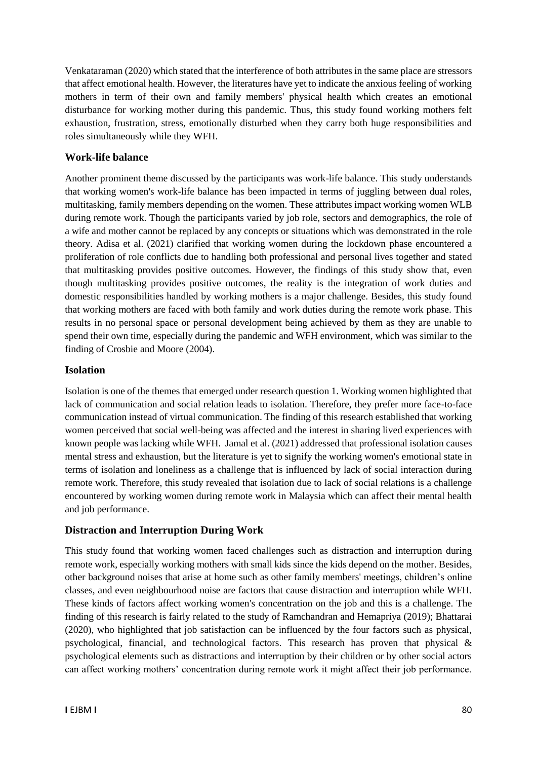Venkataraman (2020) which stated that the interference of both attributes in the same place are stressors that affect emotional health. However, the literatures have yet to indicate the anxious feeling of working mothers in term of their own and family members' physical health which creates an emotional disturbance for working mother during this pandemic. Thus, this study found working mothers felt exhaustion, frustration, stress, emotionally disturbed when they carry both huge responsibilities and roles simultaneously while they WFH.

### **Work-life balance**

Another prominent theme discussed by the participants was work-life balance. This study understands that working women's work-life balance has been impacted in terms of juggling between dual roles, multitasking, family members depending on the women. These attributes impact working women WLB during remote work. Though the participants varied by job role, sectors and demographics, the role of a wife and mother cannot be replaced by any concepts or situations which was demonstrated in the role theory. Adisa et al. (2021) clarified that working women during the lockdown phase encountered a proliferation of role conflicts due to handling both professional and personal lives together and stated that multitasking provides positive outcomes. However, the findings of this study show that, even though multitasking provides positive outcomes, the reality is the integration of work duties and domestic responsibilities handled by working mothers is a major challenge. Besides, this study found that working mothers are faced with both family and work duties during the remote work phase. This results in no personal space or personal development being achieved by them as they are unable to spend their own time, especially during the pandemic and WFH environment, which was similar to the finding of Crosbie and Moore (2004).

### **Isolation**

Isolation is one of the themes that emerged under research question 1. Working women highlighted that lack of communication and social relation leads to isolation. Therefore, they prefer more face-to-face communication instead of virtual communication. The finding of this research established that working women perceived that social well-being was affected and the interest in sharing lived experiences with known people was lacking while WFH. Jamal et al. (2021) addressed that professional isolation causes mental stress and exhaustion, but the literature is yet to signify the working women's emotional state in terms of isolation and loneliness as a challenge that is influenced by lack of social interaction during remote work. Therefore, this study revealed that isolation due to lack of social relations is a challenge encountered by working women during remote work in Malaysia which can affect their mental health and job performance.

### **Distraction and Interruption During Work**

This study found that working women faced challenges such as distraction and interruption during remote work, especially working mothers with small kids since the kids depend on the mother. Besides, other background noises that arise at home such as other family members' meetings, children's online classes, and even neighbourhood noise are factors that cause distraction and interruption while WFH. These kinds of factors affect working women's concentration on the job and this is a challenge. The finding of this research is fairly related to the study of Ramchandran and Hemapriya (2019); Bhattarai (2020), who highlighted that job satisfaction can be influenced by the four factors such as physical, psychological, financial, and technological factors. This research has proven that physical & psychological elements such as distractions and interruption by their children or by other social actors can affect working mothers' concentration during remote work it might affect their job performance.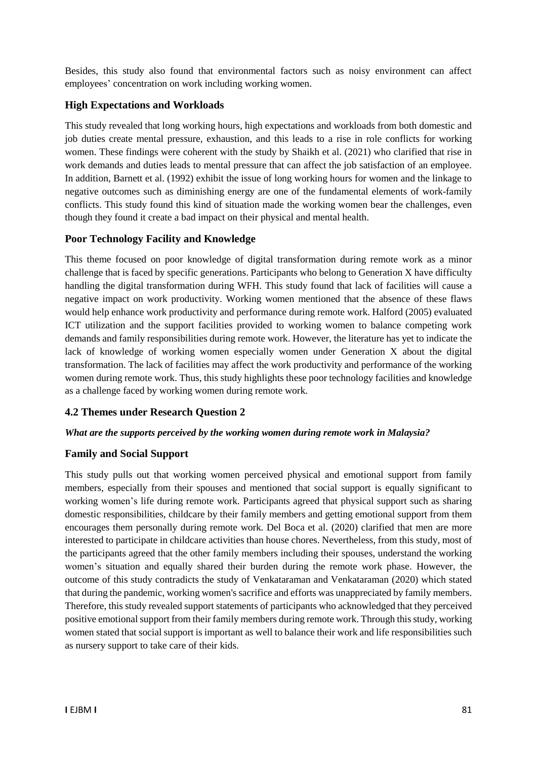Besides, this study also found that environmental factors such as noisy environment can affect employees' concentration on work including working women.

### **High Expectations and Workloads**

This study revealed that long working hours, high expectations and workloads from both domestic and job duties create mental pressure, exhaustion, and this leads to a rise in role conflicts for working women. These findings were coherent with the study by Shaikh et al. (2021) who clarified that rise in work demands and duties leads to mental pressure that can affect the job satisfaction of an employee. In addition, Barnett et al. (1992) exhibit the issue of long working hours for women and the linkage to negative outcomes such as diminishing energy are one of the fundamental elements of work-family conflicts. This study found this kind of situation made the working women bear the challenges, even though they found it create a bad impact on their physical and mental health.

### **Poor Technology Facility and Knowledge**

This theme focused on poor knowledge of digital transformation during remote work as a minor challenge that is faced by specific generations. Participants who belong to Generation X have difficulty handling the digital transformation during WFH. This study found that lack of facilities will cause a negative impact on work productivity. Working women mentioned that the absence of these flaws would help enhance work productivity and performance during remote work. Halford (2005) evaluated ICT utilization and the support facilities provided to working women to balance competing work demands and family responsibilities during remote work. However, the literature has yet to indicate the lack of knowledge of working women especially women under Generation X about the digital transformation. The lack of facilities may affect the work productivity and performance of the working women during remote work. Thus, this study highlights these poor technology facilities and knowledge as a challenge faced by working women during remote work.

# **4.2 Themes under Research Question 2**

### *What are the supports perceived by the working women during remote work in Malaysia?*

### **Family and Social Support**

This study pulls out that working women perceived physical and emotional support from family members, especially from their spouses and mentioned that social support is equally significant to working women's life during remote work. Participants agreed that physical support such as sharing domestic responsibilities, childcare by their family members and getting emotional support from them encourages them personally during remote work. Del Boca et al. (2020) clarified that men are more interested to participate in childcare activities than house chores. Nevertheless, from this study, most of the participants agreed that the other family members including their spouses, understand the working women's situation and equally shared their burden during the remote work phase. However, the outcome of this study contradicts the study of Venkataraman and Venkataraman (2020) which stated that during the pandemic, working women's sacrifice and efforts was unappreciated by family members. Therefore, this study revealed support statements of participants who acknowledged that they perceived positive emotional support from their family members during remote work. Through this study, working women stated that social support is important as well to balance their work and life responsibilities such as nursery support to take care of their kids.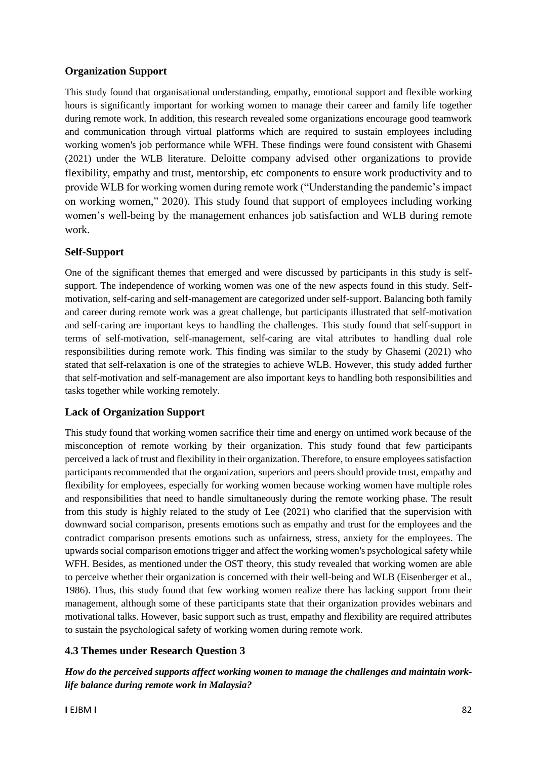# **Organization Support**

This study found that organisational understanding, empathy, emotional support and flexible working hours is significantly important for working women to manage their career and family life together during remote work. In addition, this research revealed some organizations encourage good teamwork and communication through virtual platforms which are required to sustain employees including working women's job performance while WFH. These findings were found consistent with Ghasemi (2021) under the WLB literature. Deloitte company advised other organizations to provide flexibility, empathy and trust, mentorship, etc components to ensure work productivity and to provide WLB for working women during remote work ("Understanding the pandemic's impact on working women," 2020). This study found that support of employees including working women's well-being by the management enhances job satisfaction and WLB during remote work.

# **Self-Support**

One of the significant themes that emerged and were discussed by participants in this study is selfsupport. The independence of working women was one of the new aspects found in this study. Selfmotivation, self-caring and self-management are categorized under self-support. Balancing both family and career during remote work was a great challenge, but participants illustrated that self-motivation and self-caring are important keys to handling the challenges. This study found that self-support in terms of self-motivation, self-management, self-caring are vital attributes to handling dual role responsibilities during remote work. This finding was similar to the study by Ghasemi (2021) who stated that self-relaxation is one of the strategies to achieve WLB. However, this study added further that self-motivation and self-management are also important keys to handling both responsibilities and tasks together while working remotely.

# **Lack of Organization Support**

This study found that working women sacrifice their time and energy on untimed work because of the misconception of remote working by their organization. This study found that few participants perceived a lack of trust and flexibility in their organization. Therefore, to ensure employees satisfaction participants recommended that the organization, superiors and peers should provide trust, empathy and flexibility for employees, especially for working women because working women have multiple roles and responsibilities that need to handle simultaneously during the remote working phase. The result from this study is highly related to the study of Lee (2021) who clarified that the supervision with downward social comparison, presents emotions such as empathy and trust for the employees and the contradict comparison presents emotions such as unfairness, stress, anxiety for the employees. The upwards social comparison emotions trigger and affect the working women's psychological safety while WFH. Besides, as mentioned under the OST theory, this study revealed that working women are able to perceive whether their organization is concerned with their well-being and WLB (Eisenberger et al., 1986). Thus, this study found that few working women realize there has lacking support from their management, although some of these participants state that their organization provides webinars and motivational talks. However, basic support such as trust, empathy and flexibility are required attributes to sustain the psychological safety of working women during remote work.

# **4.3 Themes under Research Question 3**

*How do the perceived supports affect working women to manage the challenges and maintain worklife balance during remote work in Malaysia?*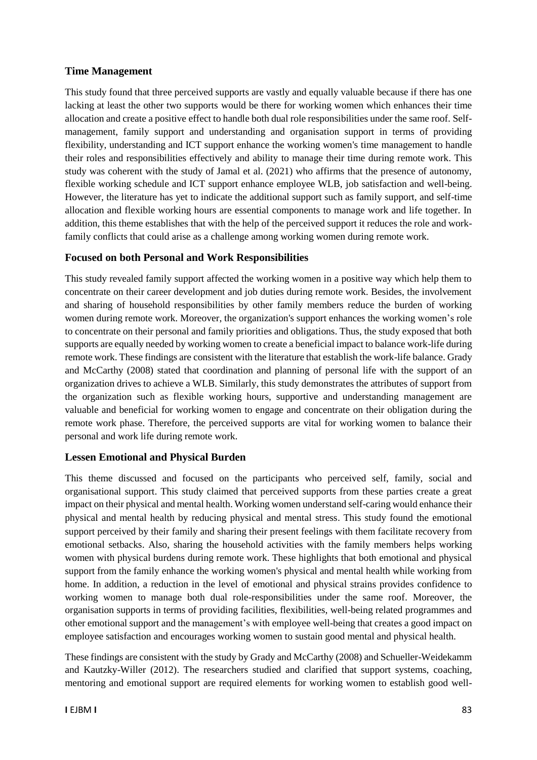### **Time Management**

This study found that three perceived supports are vastly and equally valuable because if there has one lacking at least the other two supports would be there for working women which enhances their time allocation and create a positive effect to handle both dual role responsibilities under the same roof. Selfmanagement, family support and understanding and organisation support in terms of providing flexibility, understanding and ICT support enhance the working women's time management to handle their roles and responsibilities effectively and ability to manage their time during remote work. This study was coherent with the study of Jamal et al. (2021) who affirms that the presence of autonomy, flexible working schedule and ICT support enhance employee WLB, job satisfaction and well-being. However, the literature has yet to indicate the additional support such as family support, and self-time allocation and flexible working hours are essential components to manage work and life together. In addition, this theme establishes that with the help of the perceived support it reduces the role and workfamily conflicts that could arise as a challenge among working women during remote work.

### **Focused on both Personal and Work Responsibilities**

This study revealed family support affected the working women in a positive way which help them to concentrate on their career development and job duties during remote work. Besides, the involvement and sharing of household responsibilities by other family members reduce the burden of working women during remote work. Moreover, the organization's support enhances the working women's role to concentrate on their personal and family priorities and obligations. Thus, the study exposed that both supports are equally needed by working women to create a beneficial impact to balance work-life during remote work. These findings are consistent with the literature that establish the work-life balance. Grady and McCarthy (2008) stated that coordination and planning of personal life with the support of an organization drives to achieve a WLB. Similarly, this study demonstrates the attributes of support from the organization such as flexible working hours, supportive and understanding management are valuable and beneficial for working women to engage and concentrate on their obligation during the remote work phase. Therefore, the perceived supports are vital for working women to balance their personal and work life during remote work.

# **Lessen Emotional and Physical Burden**

This theme discussed and focused on the participants who perceived self, family, social and organisational support. This study claimed that perceived supports from these parties create a great impact on their physical and mental health. Working women understand self-caring would enhance their physical and mental health by reducing physical and mental stress. This study found the emotional support perceived by their family and sharing their present feelings with them facilitate recovery from emotional setbacks. Also, sharing the household activities with the family members helps working women with physical burdens during remote work. These highlights that both emotional and physical support from the family enhance the working women's physical and mental health while working from home. In addition, a reduction in the level of emotional and physical strains provides confidence to working women to manage both dual role-responsibilities under the same roof. Moreover, the organisation supports in terms of providing facilities, flexibilities, well-being related programmes and other emotional support and the management's with employee well-being that creates a good impact on employee satisfaction and encourages working women to sustain good mental and physical health.

These findings are consistent with the study by Grady and McCarthy (2008) and Schueller-Weidekamm and Kautzky-Willer (2012). The researchers studied and clarified that support systems, coaching, mentoring and emotional support are required elements for working women to establish good well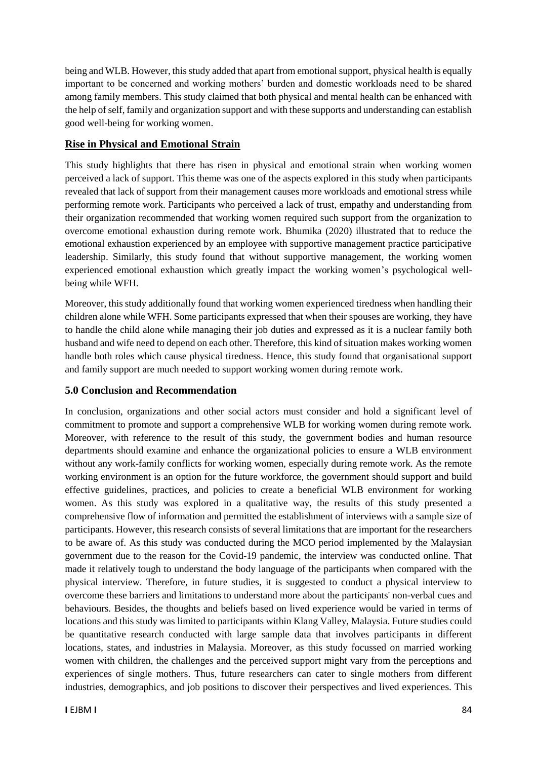being and WLB. However, this study added that apart from emotional support, physical health is equally important to be concerned and working mothers' burden and domestic workloads need to be shared among family members. This study claimed that both physical and mental health can be enhanced with the help of self, family and organization support and with these supports and understanding can establish good well-being for working women.

# **Rise in Physical and Emotional Strain**

This study highlights that there has risen in physical and emotional strain when working women perceived a lack of support. This theme was one of the aspects explored in this study when participants revealed that lack of support from their management causes more workloads and emotional stress while performing remote work. Participants who perceived a lack of trust, empathy and understanding from their organization recommended that working women required such support from the organization to overcome emotional exhaustion during remote work. Bhumika (2020) illustrated that to reduce the emotional exhaustion experienced by an employee with supportive management practice participative leadership. Similarly, this study found that without supportive management, the working women experienced emotional exhaustion which greatly impact the working women's psychological wellbeing while WFH.

Moreover, this study additionally found that working women experienced tiredness when handling their children alone while WFH. Some participants expressed that when their spouses are working, they have to handle the child alone while managing their job duties and expressed as it is a nuclear family both husband and wife need to depend on each other. Therefore, this kind of situation makes working women handle both roles which cause physical tiredness. Hence, this study found that organisational support and family support are much needed to support working women during remote work.

# **5.0 Conclusion and Recommendation**

In conclusion, organizations and other social actors must consider and hold a significant level of commitment to promote and support a comprehensive WLB for working women during remote work. Moreover, with reference to the result of this study, the government bodies and human resource departments should examine and enhance the organizational policies to ensure a WLB environment without any work-family conflicts for working women, especially during remote work. As the remote working environment is an option for the future workforce, the government should support and build effective guidelines, practices, and policies to create a beneficial WLB environment for working women. As this study was explored in a qualitative way, the results of this study presented a comprehensive flow of information and permitted the establishment of interviews with a sample size of participants. However, this research consists of several limitations that are important for the researchers to be aware of. As this study was conducted during the MCO period implemented by the Malaysian government due to the reason for the Covid-19 pandemic, the interview was conducted online. That made it relatively tough to understand the body language of the participants when compared with the physical interview. Therefore, in future studies, it is suggested to conduct a physical interview to overcome these barriers and limitations to understand more about the participants' non-verbal cues and behaviours. Besides, the thoughts and beliefs based on lived experience would be varied in terms of locations and this study was limited to participants within Klang Valley, Malaysia. Future studies could be quantitative research conducted with large sample data that involves participants in different locations, states, and industries in Malaysia. Moreover, as this study focussed on married working women with children, the challenges and the perceived support might vary from the perceptions and experiences of single mothers. Thus, future researchers can cater to single mothers from different industries, demographics, and job positions to discover their perspectives and lived experiences. This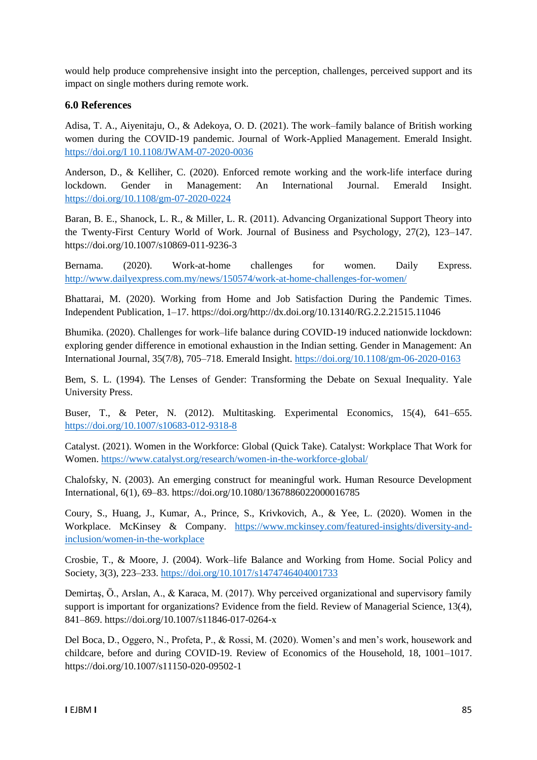would help produce comprehensive insight into the perception, challenges, perceived support and its impact on single mothers during remote work.

### **6.0 References**

Adisa, T. A., Aiyenitaju, O., & Adekoya, O. D. (2021). The work–family balance of British working women during the COVID-19 pandemic. Journal of Work-Applied Management. Emerald Insight. [https://doi.org/I 10.1108/JWAM-07-2020-0036](https://doi.org/I%2010.1108/JWAM-07-2020-0036)

Anderson, D., & Kelliher, C. (2020). Enforced remote working and the work-life interface during lockdown. Gender in Management: An International Journal. Emerald Insight. <https://doi.org/10.1108/gm-07-2020-0224>

Baran, B. E., Shanock, L. R., & Miller, L. R. (2011). Advancing Organizational Support Theory into the Twenty-First Century World of Work. Journal of Business and Psychology, 27(2), 123–147. https://doi.org/10.1007/s10869-011-9236-3

Bernama. (2020). Work-at-home challenges for women. Daily Express. <http://www.dailyexpress.com.my/news/150574/work-at-home-challenges-for-women/>

Bhattarai, M. (2020). Working from Home and Job Satisfaction During the Pandemic Times. Independent Publication, 1–17. https://doi.org/http://dx.doi.org/10.13140/RG.2.2.21515.11046

Bhumika. (2020). Challenges for work–life balance during COVID-19 induced nationwide lockdown: exploring gender difference in emotional exhaustion in the Indian setting. Gender in Management: An International Journal, 35(7/8), 705–718. Emerald Insight.<https://doi.org/10.1108/gm-06-2020-0163>

Bem, S. L. (1994). The Lenses of Gender: Transforming the Debate on Sexual Inequality. Yale University Press.

Buser, T., & Peter, N. (2012). Multitasking. Experimental Economics, 15(4), 641–655. <https://doi.org/10.1007/s10683-012-9318-8>

Catalyst. (2021). Women in the Workforce: Global (Quick Take). Catalyst: Workplace That Work for Women.<https://www.catalyst.org/research/women-in-the-workforce-global/>

Chalofsky, N. (2003). An emerging construct for meaningful work. Human Resource Development International, 6(1), 69–83. https://doi.org/10.1080/1367886022000016785

Coury, S., Huang, J., Kumar, A., Prince, S., Krivkovich, A., & Yee, L. (2020). Women in the Workplace. McKinsey & Company. [https://www.mckinsey.com/featured-insights/diversity-and](https://www.mckinsey.com/featured-insights/diversity-and-inclusion/women-in-the-workplace)[inclusion/women-in-the-workplace](https://www.mckinsey.com/featured-insights/diversity-and-inclusion/women-in-the-workplace)

Crosbie, T., & Moore, J. (2004). Work–life Balance and Working from Home. Social Policy and Society, 3(3), 223–233.<https://doi.org/10.1017/s1474746404001733>

Demirtaş, Ö., Arslan, A., & Karaca, M. (2017). Why perceived organizational and supervisory family support is important for organizations? Evidence from the field. Review of Managerial Science, 13(4), 841–869. https://doi.org/10.1007/s11846-017-0264-x

Del Boca, D., Oggero, N., Profeta, P., & Rossi, M. (2020). Women's and men's work, housework and childcare, before and during COVID-19. Review of Economics of the Household, 18, 1001–1017. https://doi.org/10.1007/s11150-020-09502-1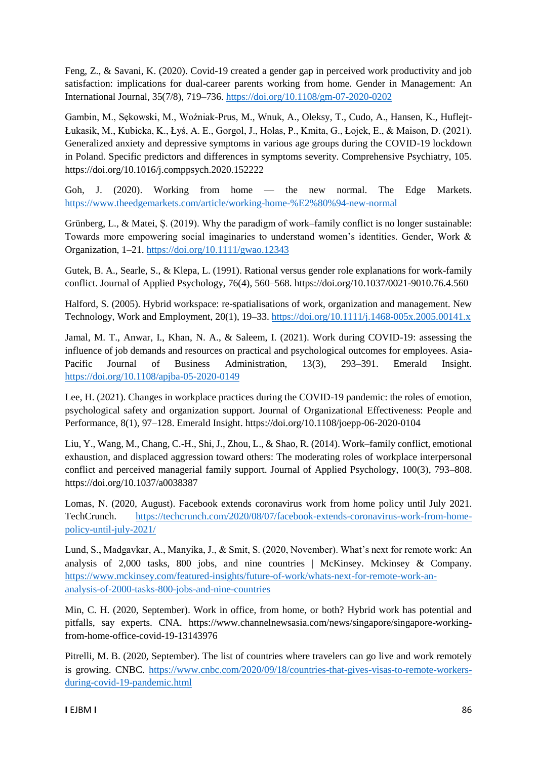Feng, Z., & Savani, K. (2020). Covid-19 created a gender gap in perceived work productivity and job satisfaction: implications for dual-career parents working from home. Gender in Management: An International Journal, 35(7/8), 719–736[. https://doi.org/10.1108/gm-07-2020-0202](https://doi.org/10.1108/gm-07-2020-0202)

Gambin, M., Sękowski, M., Woźniak-Prus, M., Wnuk, A., Oleksy, T., Cudo, A., Hansen, K., Huflejt-Łukasik, M., Kubicka, K., Łyś, A. E., Gorgol, J., Holas, P., Kmita, G., Łojek, E., & Maison, D. (2021). Generalized anxiety and depressive symptoms in various age groups during the COVID-19 lockdown in Poland. Specific predictors and differences in symptoms severity. Comprehensive Psychiatry, 105. https://doi.org/10.1016/j.comppsych.2020.152222

Goh, J. (2020). Working from home — the new normal. The Edge Markets. <https://www.theedgemarkets.com/article/working-home-%E2%80%94-new-normal>

Grünberg, L., & Matei, Ș. (2019). Why the paradigm of work–family conflict is no longer sustainable: Towards more empowering social imaginaries to understand women's identities. Gender, Work & Organization, 1–21.<https://doi.org/10.1111/gwao.12343>

Gutek, B. A., Searle, S., & Klepa, L. (1991). Rational versus gender role explanations for work-family conflict. Journal of Applied Psychology, 76(4), 560–568. https://doi.org/10.1037/0021-9010.76.4.560

Halford, S. (2005). Hybrid workspace: re-spatialisations of work, organization and management. New Technology, Work and Employment, 20(1), 19–33.<https://doi.org/10.1111/j.1468-005x.2005.00141.x>

Jamal, M. T., Anwar, I., Khan, N. A., & Saleem, I. (2021). Work during COVID-19: assessing the influence of job demands and resources on practical and psychological outcomes for employees. Asia-Pacific Journal of Business Administration, 13(3), 293–391. Emerald Insight. <https://doi.org/10.1108/apjba-05-2020-0149>

Lee, H. (2021). Changes in workplace practices during the COVID-19 pandemic: the roles of emotion, psychological safety and organization support. Journal of Organizational Effectiveness: People and Performance, 8(1), 97–128. Emerald Insight. https://doi.org/10.1108/joepp-06-2020-0104

Liu, Y., Wang, M., Chang, C.-H., Shi, J., Zhou, L., & Shao, R. (2014). Work–family conflict, emotional exhaustion, and displaced aggression toward others: The moderating roles of workplace interpersonal conflict and perceived managerial family support. Journal of Applied Psychology, 100(3), 793–808. https://doi.org/10.1037/a0038387

Lomas, N. (2020, August). Facebook extends coronavirus work from home policy until July 2021. TechCrunch. [https://techcrunch.com/2020/08/07/facebook-extends-coronavirus-work-from-home](https://techcrunch.com/2020/08/07/facebook-extends-coronavirus-work-from-home-policy-until-july-2021/)[policy-until-july-2021/](https://techcrunch.com/2020/08/07/facebook-extends-coronavirus-work-from-home-policy-until-july-2021/)

Lund, S., Madgavkar, A., Manyika, J., & Smit, S. (2020, November). What's next for remote work: An analysis of 2,000 tasks, 800 jobs, and nine countries | McKinsey. Mckinsey & Company. [https://www.mckinsey.com/featured-insights/future-of-work/whats-next-for-remote-work-an](https://www.mckinsey.com/featured-insights/future-of-work/whats-next-for-remote-work-an-analysis-of-2000-tasks-800-jobs-and-nine-countries)[analysis-of-2000-tasks-800-jobs-and-nine-countries](https://www.mckinsey.com/featured-insights/future-of-work/whats-next-for-remote-work-an-analysis-of-2000-tasks-800-jobs-and-nine-countries)

Min, C. H. (2020, September). Work in office, from home, or both? Hybrid work has potential and pitfalls, say experts. CNA. https://www.channelnewsasia.com/news/singapore/singapore-workingfrom-home-office-covid-19-13143976

Pitrelli, M. B. (2020, September). The list of countries where travelers can go live and work remotely is growing. CNBC. [https://www.cnbc.com/2020/09/18/countries-that-gives-visas-to-remote-workers](https://www.cnbc.com/2020/09/18/countries-that-gives-visas-to-remote-workers-during-covid-19-pandemic.html)[during-covid-19-pandemic.html](https://www.cnbc.com/2020/09/18/countries-that-gives-visas-to-remote-workers-during-covid-19-pandemic.html)